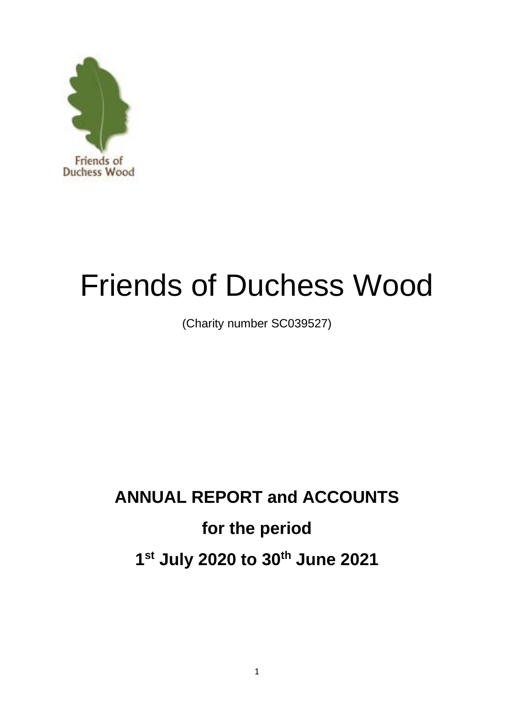

# Friends of Duchess Wood

(Charity number SC039527)

# **ANNUAL REPORT and ACCOUNTS for the period 1 st July 2020 to 30th June 2021**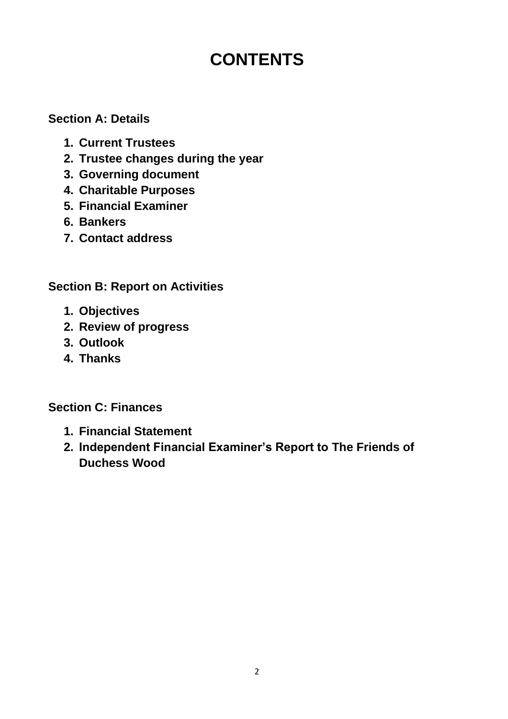# **CONTENTS**

## **Section A: Details**

- **1. Current Trustees**
- **2. Trustee changes during the year**
- **3. Governing document**
- **4. Charitable Purposes**
- **5. Financial Examiner**
- **6. Bankers**
- **7. Contact address**

# **Section B: Report on Activities**

- **1. Objectives**
- **2. Review of progress**
- **3. Outlook**
- **4. Thanks**

# **Section C: Finances**

- **1. Financial Statement**
- **2. Independent Financial Examiner's Report to The Friends of Duchess Wood**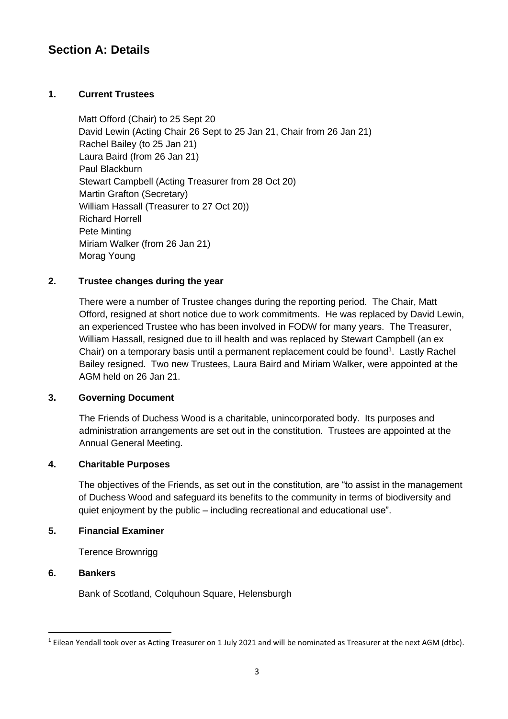### **Section A: Details**

#### **1. Current Trustees**

Matt Offord (Chair) to 25 Sept 20 David Lewin (Acting Chair 26 Sept to 25 Jan 21, Chair from 26 Jan 21) Rachel Bailey (to 25 Jan 21) Laura Baird (from 26 Jan 21) Paul Blackburn Stewart Campbell (Acting Treasurer from 28 Oct 20) Martin Grafton (Secretary) William Hassall (Treasurer to 27 Oct 20)) Richard Horrell Pete Minting Miriam Walker (from 26 Jan 21) Morag Young

#### **2. Trustee changes during the year**

There were a number of Trustee changes during the reporting period. The Chair, Matt Offord, resigned at short notice due to work commitments. He was replaced by David Lewin, an experienced Trustee who has been involved in FODW for many years. The Treasurer, William Hassall, resigned due to ill health and was replaced by Stewart Campbell (an ex Chair) on a temporary basis until a permanent replacement could be found<sup>1</sup>. Lastly Rachel Bailey resigned. Two new Trustees, Laura Baird and Miriam Walker, were appointed at the AGM held on 26 Jan 21.

#### **3. Governing Document**

The Friends of Duchess Wood is a charitable, unincorporated body. Its purposes and administration arrangements are set out in the constitution. Trustees are appointed at the Annual General Meeting.

#### **4. Charitable Purposes**

The objectives of the Friends, as set out in the constitution, are "to assist in the management of Duchess Wood and safeguard its benefits to the community in terms of biodiversity and quiet enjoyment by the public – including recreational and educational use".

#### **5. Financial Examiner**

Terence Brownrigg

#### **6. Bankers**

Bank of Scotland, Colquhoun Square, Helensburgh

 $1$  Eilean Yendall took over as Acting Treasurer on 1 July 2021 and will be nominated as Treasurer at the next AGM (dtbc).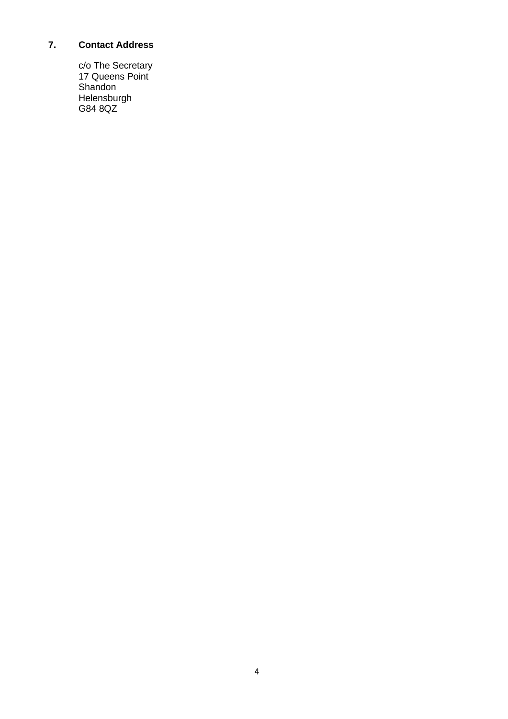#### **7. Contact Address**

c/o The Secretary 17 Queens Point Shandon Helensburgh G84 8QZ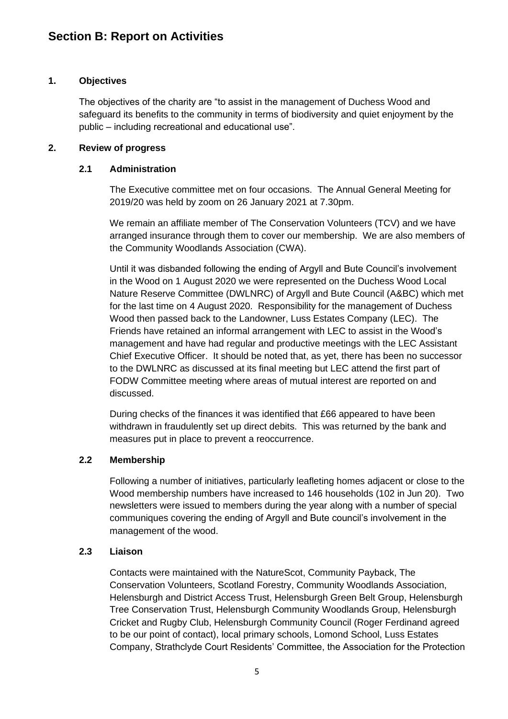#### **1. Objectives**

The objectives of the charity are "to assist in the management of Duchess Wood and safeguard its benefits to the community in terms of biodiversity and quiet enjoyment by the public – including recreational and educational use".

#### **2. Review of progress**

#### **2.1 Administration**

The Executive committee met on four occasions. The Annual General Meeting for 2019/20 was held by zoom on 26 January 2021 at 7.30pm.

We remain an affiliate member of The Conservation Volunteers (TCV) and we have arranged insurance through them to cover our membership. We are also members of the Community Woodlands Association (CWA).

Until it was disbanded following the ending of Argyll and Bute Council's involvement in the Wood on 1 August 2020 we were represented on the Duchess Wood Local Nature Reserve Committee (DWLNRC) of Argyll and Bute Council (A&BC) which met for the last time on 4 August 2020. Responsibility for the management of Duchess Wood then passed back to the Landowner, Luss Estates Company (LEC). The Friends have retained an informal arrangement with LEC to assist in the Wood's management and have had regular and productive meetings with the LEC Assistant Chief Executive Officer. It should be noted that, as yet, there has been no successor to the DWLNRC as discussed at its final meeting but LEC attend the first part of FODW Committee meeting where areas of mutual interest are reported on and discussed.

During checks of the finances it was identified that £66 appeared to have been withdrawn in fraudulently set up direct debits. This was returned by the bank and measures put in place to prevent a reoccurrence.

#### **2.2 Membership**

Following a number of initiatives, particularly leafleting homes adjacent or close to the Wood membership numbers have increased to 146 households (102 in Jun 20). Two newsletters were issued to members during the year along with a number of special communiques covering the ending of Argyll and Bute council's involvement in the management of the wood.

#### **2.3 Liaison**

Contacts were maintained with the NatureScot, Community Payback, The Conservation Volunteers, Scotland Forestry, Community Woodlands Association, Helensburgh and District Access Trust, Helensburgh Green Belt Group, Helensburgh Tree Conservation Trust, Helensburgh Community Woodlands Group, Helensburgh Cricket and Rugby Club, Helensburgh Community Council (Roger Ferdinand agreed to be our point of contact), local primary schools, Lomond School, Luss Estates Company, Strathclyde Court Residents' Committee, the Association for the Protection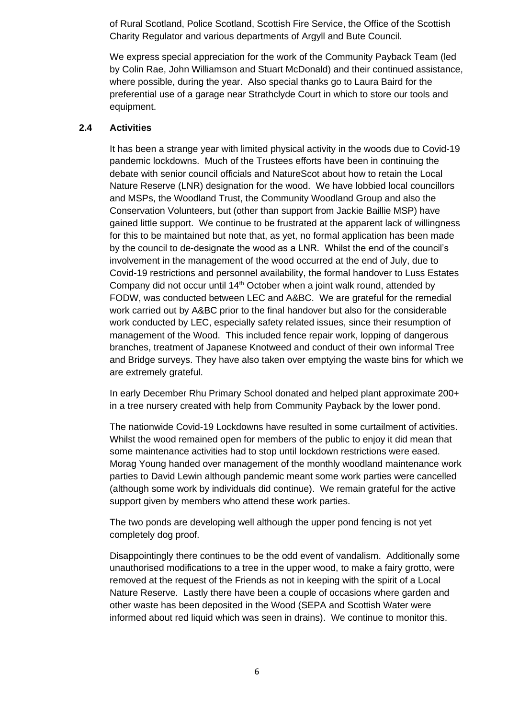of Rural Scotland, Police Scotland, Scottish Fire Service, the Office of the Scottish Charity Regulator and various departments of Argyll and Bute Council.

We express special appreciation for the work of the Community Payback Team (led by Colin Rae, John Williamson and Stuart McDonald) and their continued assistance, where possible, during the year. Also special thanks go to Laura Baird for the preferential use of a garage near Strathclyde Court in which to store our tools and equipment.

#### **2.4 Activities**

It has been a strange year with limited physical activity in the woods due to Covid-19 pandemic lockdowns. Much of the Trustees efforts have been in continuing the debate with senior council officials and NatureScot about how to retain the Local Nature Reserve (LNR) designation for the wood. We have lobbied local councillors and MSPs, the Woodland Trust, the Community Woodland Group and also the Conservation Volunteers, but (other than support from Jackie Baillie MSP) have gained little support. We continue to be frustrated at the apparent lack of willingness for this to be maintained but note that, as yet, no formal application has been made by the council to de-designate the wood as a LNR. Whilst the end of the council's involvement in the management of the wood occurred at the end of July, due to Covid-19 restrictions and personnel availability, the formal handover to Luss Estates Company did not occur until  $14<sup>th</sup>$  October when a joint walk round, attended by FODW, was conducted between LEC and A&BC. We are grateful for the remedial work carried out by A&BC prior to the final handover but also for the considerable work conducted by LEC, especially safety related issues, since their resumption of management of the Wood. This included fence repair work, lopping of dangerous branches, treatment of Japanese Knotweed and conduct of their own informal Tree and Bridge surveys. They have also taken over emptying the waste bins for which we are extremely grateful.

In early December Rhu Primary School donated and helped plant approximate 200+ in a tree nursery created with help from Community Payback by the lower pond.

The nationwide Covid-19 Lockdowns have resulted in some curtailment of activities. Whilst the wood remained open for members of the public to enjoy it did mean that some maintenance activities had to stop until lockdown restrictions were eased. Morag Young handed over management of the monthly woodland maintenance work parties to David Lewin although pandemic meant some work parties were cancelled (although some work by individuals did continue). We remain grateful for the active support given by members who attend these work parties.

The two ponds are developing well although the upper pond fencing is not yet completely dog proof.

Disappointingly there continues to be the odd event of vandalism. Additionally some unauthorised modifications to a tree in the upper wood, to make a fairy grotto, were removed at the request of the Friends as not in keeping with the spirit of a Local Nature Reserve. Lastly there have been a couple of occasions where garden and other waste has been deposited in the Wood (SEPA and Scottish Water were informed about red liquid which was seen in drains). We continue to monitor this.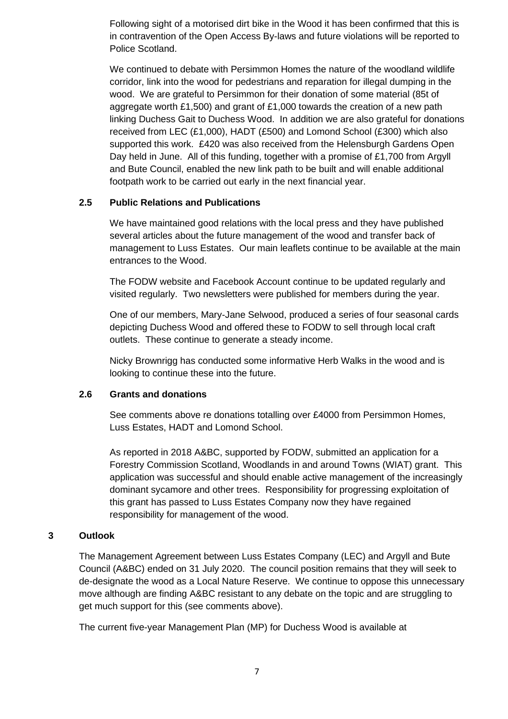Following sight of a motorised dirt bike in the Wood it has been confirmed that this is in contravention of the Open Access By-laws and future violations will be reported to Police Scotland.

We continued to debate with Persimmon Homes the nature of the woodland wildlife corridor, link into the wood for pedestrians and reparation for illegal dumping in the wood. We are grateful to Persimmon for their donation of some material (85t of aggregate worth £1,500) and grant of £1,000 towards the creation of a new path linking Duchess Gait to Duchess Wood. In addition we are also grateful for donations received from LEC (£1,000), HADT (£500) and Lomond School (£300) which also supported this work. £420 was also received from the Helensburgh Gardens Open Day held in June. All of this funding, together with a promise of £1,700 from Argyll and Bute Council, enabled the new link path to be built and will enable additional footpath work to be carried out early in the next financial year.

#### **2.5 Public Relations and Publications**

We have maintained good relations with the local press and they have published several articles about the future management of the wood and transfer back of management to Luss Estates. Our main leaflets continue to be available at the main entrances to the Wood.

The FODW website and Facebook Account continue to be updated regularly and visited regularly. Two newsletters were published for members during the year.

One of our members, Mary-Jane Selwood, produced a series of four seasonal cards depicting Duchess Wood and offered these to FODW to sell through local craft outlets. These continue to generate a steady income.

Nicky Brownrigg has conducted some informative Herb Walks in the wood and is looking to continue these into the future.

#### **2.6 Grants and donations**

See comments above re donations totalling over £4000 from Persimmon Homes, Luss Estates, HADT and Lomond School.

As reported in 2018 A&BC, supported by FODW, submitted an application for a Forestry Commission Scotland, Woodlands in and around Towns (WIAT) grant. This application was successful and should enable active management of the increasingly dominant sycamore and other trees. Responsibility for progressing exploitation of this grant has passed to Luss Estates Company now they have regained responsibility for management of the wood.

#### **3 Outlook**

The Management Agreement between Luss Estates Company (LEC) and Argyll and Bute Council (A&BC) ended on 31 July 2020. The council position remains that they will seek to de-designate the wood as a Local Nature Reserve. We continue to oppose this unnecessary move although are finding A&BC resistant to any debate on the topic and are struggling to get much support for this (see comments above).

The current five-year Management Plan (MP) for Duchess Wood is available at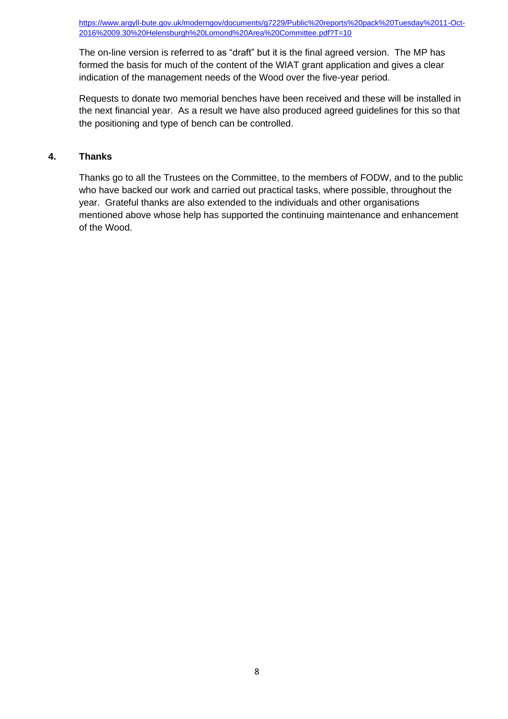[https://www.argyll-bute.gov.uk/moderngov/documents/g7229/Public%20reports%20pack%20Tuesday%2011-Oct-](https://www.argyll-bute.gov.uk/moderngov/documents/g7229/Public%20reports%20pack%20Tuesday%2011-Oct-2016%2009.30%20Helensburgh%20Lomond%20Area%20Committee.pdf?T=10)[2016%2009.30%20Helensburgh%20Lomond%20Area%20Committee.pdf?T=10](https://www.argyll-bute.gov.uk/moderngov/documents/g7229/Public%20reports%20pack%20Tuesday%2011-Oct-2016%2009.30%20Helensburgh%20Lomond%20Area%20Committee.pdf?T=10) 

The on-line version is referred to as "draft" but it is the final agreed version. The MP has formed the basis for much of the content of the WIAT grant application and gives a clear indication of the management needs of the Wood over the five-year period.

Requests to donate two memorial benches have been received and these will be installed in the next financial year. As a result we have also produced agreed guidelines for this so that the positioning and type of bench can be controlled.

#### **4. Thanks**

Thanks go to all the Trustees on the Committee, to the members of FODW, and to the public who have backed our work and carried out practical tasks, where possible, throughout the year. Grateful thanks are also extended to the individuals and other organisations mentioned above whose help has supported the continuing maintenance and enhancement of the Wood.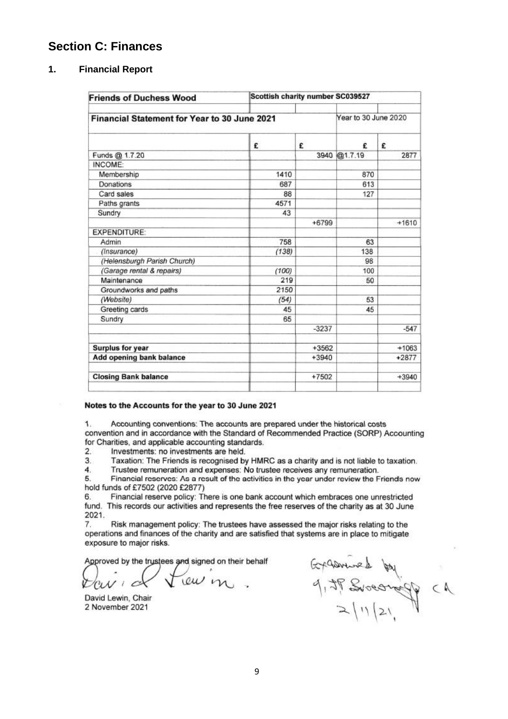#### **Section C: Finances**

#### **1. Financial Report**

| <b>Friends of Duchess Wood</b>               | Scottish charity number SC039527 |                      |              |         |
|----------------------------------------------|----------------------------------|----------------------|--------------|---------|
| Financial Statement for Year to 30 June 2021 |                                  | Year to 30 June 2020 |              |         |
|                                              | £                                | £                    | £            | £       |
| Funds @ 1.7.20                               |                                  |                      | 3940 @1.7.19 | 2877    |
| INCOME:                                      |                                  |                      |              |         |
| Membership                                   | 1410                             |                      | 870          |         |
| Donations                                    | 687                              |                      | 613          |         |
| Card sales                                   | 88                               |                      | 127          |         |
| Paths grants                                 | 4571                             |                      |              |         |
| Sundry                                       | 43                               |                      |              |         |
|                                              |                                  | $+6799$              |              | $+1610$ |
| <b>EXPENDITURE:</b>                          |                                  |                      |              |         |
| Admin                                        | 758                              |                      | 63           |         |
| (Insurance)                                  | (138)                            |                      | 138          |         |
| (Helensburgh Parish Church)                  |                                  |                      | 98           |         |
| (Garage rental & repairs)                    | (100)                            |                      | 100          |         |
| Maintenance                                  | 219                              |                      | 50           |         |
| Groundworks and paths                        | 2150                             |                      |              |         |
| (Website)                                    | (54)                             |                      | 53           |         |
| Greeting cards                               | 45                               |                      | 45           |         |
| Sundry                                       | 65                               |                      |              |         |
|                                              |                                  | $-3237$              |              | $-547$  |
| <b>Surplus for year</b>                      |                                  | $+3562$              |              | $+1063$ |
| Add opening bank balance                     |                                  | $+3940$              |              | $+2877$ |
| <b>Closing Bank balance</b>                  |                                  | $+7502$              |              | $+3940$ |

#### Notes to the Accounts for the year to 30 June 2021

1. Accounting conventions: The accounts are prepared under the historical costs convention and in accordance with the Standard of Recommended Practice (SORP) Accounting for Charities, and applicable accounting standards.

 $2.$ Investments: no investments are held.

 $3.$ Taxation: The Friends is recognised by HMRC as a charity and is not liable to taxation.

Trustee remuneration and expenses: No trustee receives any remuneration.  $\overline{\bf 4}$ .

Financial reserves: As a result of the activities in the year under review the Friends now 5. hold funds of £7502 (2020 £2877)

Financial reserve policy: There is one bank account which embraces one unrestricted 6. fund. This records our activities and represents the free reserves of the charity as at 30 June 2021.

7. Risk management policy: The trustees have assessed the major risks relating to the operations and finances of the charity and are satisfied that systems are in place to mitigate exposure to major risks.

Approved by the trustees and signed on their behalf

lew in

David Lewin, Chair 2 November 2021

Exponent by<br>9, IP Sweening  $\subset \mathbb{A}$